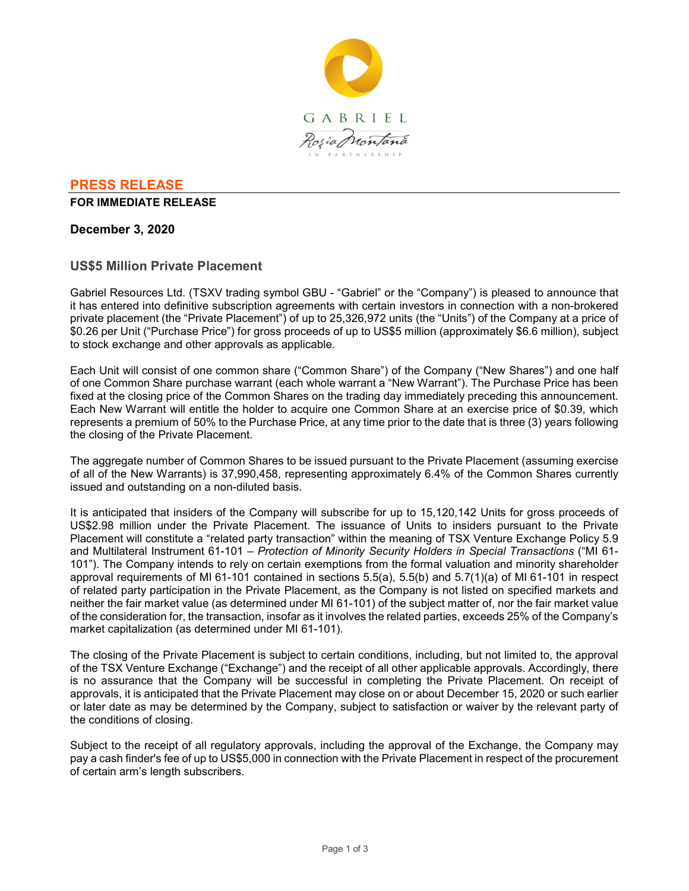

# **PRESS RELEASE**

#### **FOR IMMEDIATE RELEASE**

## **December 3, 2020**

# **US\$5 Million Private Placement**

Gabriel Resources Ltd. (TSXV trading symbol GBU - "Gabriel" or the "Company") is pleased to announce that it has entered into definitive subscription agreements with certain investors in connection with a non-brokered private placement (the "Private Placement") of up to 25,326,972 units (the "Units") of the Company at a price of \$0.26 per Unit ("Purchase Price") for gross proceeds of up to US\$5 million (approximately \$6.6 million), subject to stock exchange and other approvals as applicable.

Each Unit will consist of one common share ("Common Share") of the Company ("New Shares") and one half of one Common Share purchase warrant (each whole warrant a "New Warrant"). The Purchase Price has been fixed at the closing price of the Common Shares on the trading day immediately preceding this announcement. Each New Warrant will entitle the holder to acquire one Common Share at an exercise price of \$0.39, which represents a premium of 50% to the Purchase Price, at any time prior to the date that is three (3) years following the closing of the Private Placement.

The aggregate number of Common Shares to be issued pursuant to the Private Placement (assuming exercise of all of the New Warrants) is 37,990,458, representing approximately 6.4% of the Common Shares currently issued and outstanding on a non-diluted basis.

It is anticipated that insiders of the Company will subscribe for up to 15,120,142 Units for gross proceeds of US\$2.98 million under the Private Placement. The issuance of Units to insiders pursuant to the Private Placement will constitute a "related party transaction" within the meaning of TSX Venture Exchange Policy 5.9 and Multilateral Instrument 61-101 – *Protection of Minority Security Holders in Special Transactions* ("MI 61- 101"). The Company intends to rely on certain exemptions from the formal valuation and minority shareholder approval requirements of MI 61-101 contained in sections 5.5(a), 5.5(b) and 5.7(1)(a) of MI 61-101 in respect of related party participation in the Private Placement, as the Company is not listed on specified markets and neither the fair market value (as determined under MI 61-101) of the subject matter of, nor the fair market value of the consideration for, the transaction, insofar as it involves the related parties, exceeds 25% of the Company's market capitalization (as determined under MI 61-101).

The closing of the Private Placement is subject to certain conditions, including, but not limited to, the approval of the TSX Venture Exchange ("Exchange") and the receipt of all other applicable approvals. Accordingly, there is no assurance that the Company will be successful in completing the Private Placement. On receipt of approvals, it is anticipated that the Private Placement may close on or about December 15, 2020 or such earlier or later date as may be determined by the Company, subject to satisfaction or waiver by the relevant party of the conditions of closing.

Subject to the receipt of all regulatory approvals, including the approval of the Exchange, the Company may pay a cash finder's fee of up to US\$5,000 in connection with the Private Placement in respect of the procurement of certain arm's length subscribers.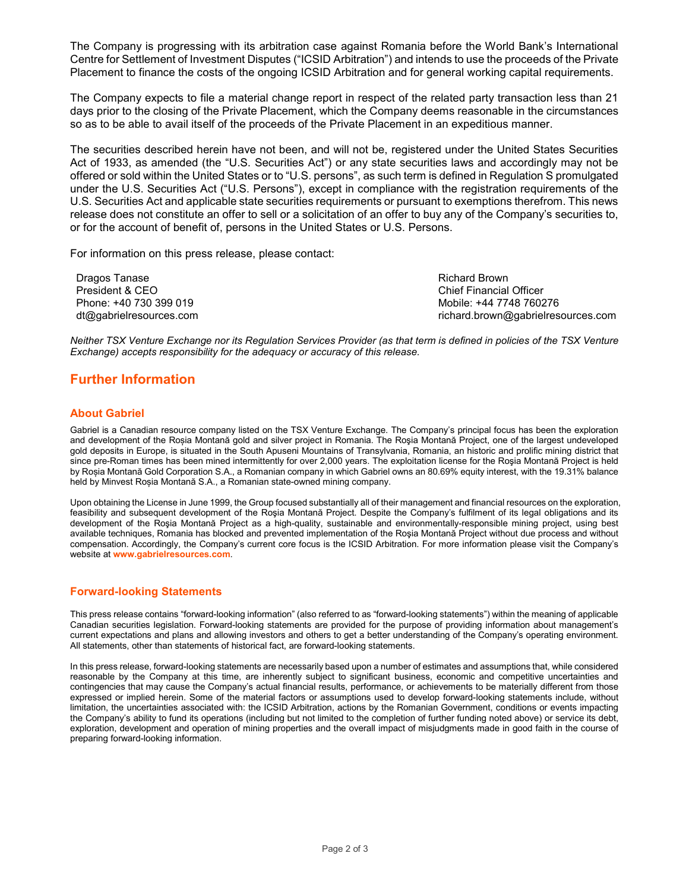The Company is progressing with its arbitration case against Romania before the World Bank's International Centre for Settlement of Investment Disputes ("ICSID Arbitration") and intends to use the proceeds of the Private Placement to finance the costs of the ongoing ICSID Arbitration and for general working capital requirements.

The Company expects to file a material change report in respect of the related party transaction less than 21 days prior to the closing of the Private Placement, which the Company deems reasonable in the circumstances so as to be able to avail itself of the proceeds of the Private Placement in an expeditious manner.

The securities described herein have not been, and will not be, registered under the United States Securities Act of 1933, as amended (the "U.S. Securities Act") or any state securities laws and accordingly may not be offered or sold within the United States or to "U.S. persons", as such term is defined in Regulation S promulgated under the U.S. Securities Act ("U.S. Persons"), except in compliance with the registration requirements of the U.S. Securities Act and applicable state securities requirements or pursuant to exemptions therefrom. This news release does not constitute an offer to sell or a solicitation of an offer to buy any of the Company's securities to, or for the account of benefit of, persons in the United States or U.S. Persons.

For information on this press release, please contact:

Dragos Tanase President & CEO Phone: +40 730 399 019 dt@gabrielresources.com Richard Brown Chief Financial Officer Mobile: +44 7748 760276 richard.brown@gabrielresources.com

*Neither TSX Venture Exchange nor its Regulation Services Provider (as that term is defined in policies of the TSX Venture Exchange) accepts responsibility for the adequacy or accuracy of this release.*

# **Further Information**

## **About Gabriel**

Gabriel is a Canadian resource company listed on the TSX Venture Exchange. The Company's principal focus has been the exploration and development of the Roșia Montană gold and silver project in Romania. The Roşia Montană Project, one of the largest undeveloped gold deposits in Europe, is situated in the South Apuseni Mountains of Transylvania, Romania, an historic and prolific mining district that since pre-Roman times has been mined intermittently for over 2,000 years. The exploitation license for the Roşia Montană Project is held by Roșia Montană Gold Corporation S.A., a Romanian company in which Gabriel owns an 80.69% equity interest, with the 19.31% balance held by Minvest Roșia Montană S.A., a Romanian state-owned mining company.

Upon obtaining the License in June 1999, the Group focused substantially all of their management and financial resources on the exploration, feasibility and subsequent development of the Roşia Montană Project. Despite the Company's fulfilment of its legal obligations and its development of the Roşia Montană Project as a high-quality, sustainable and environmentally-responsible mining project, using best available techniques, Romania has blocked and prevented implementation of the Roşia Montană Project without due process and without compensation. Accordingly, the Company's current core focus is the ICSID Arbitration. For more information please visit the Company's website at **www.gabrielresources.com**.

#### **Forward-looking Statements**

This press release contains "forward-looking information" (also referred to as "forward-looking statements") within the meaning of applicable Canadian securities legislation. Forward-looking statements are provided for the purpose of providing information about management's current expectations and plans and allowing investors and others to get a better understanding of the Company's operating environment. All statements, other than statements of historical fact, are forward-looking statements.

In this press release, forward-looking statements are necessarily based upon a number of estimates and assumptions that, while considered reasonable by the Company at this time, are inherently subject to significant business, economic and competitive uncertainties and contingencies that may cause the Company's actual financial results, performance, or achievements to be materially different from those expressed or implied herein. Some of the material factors or assumptions used to develop forward-looking statements include, without limitation, the uncertainties associated with: the ICSID Arbitration, actions by the Romanian Government, conditions or events impacting the Company's ability to fund its operations (including but not limited to the completion of further funding noted above) or service its debt, exploration, development and operation of mining properties and the overall impact of misjudgments made in good faith in the course of preparing forward-looking information.